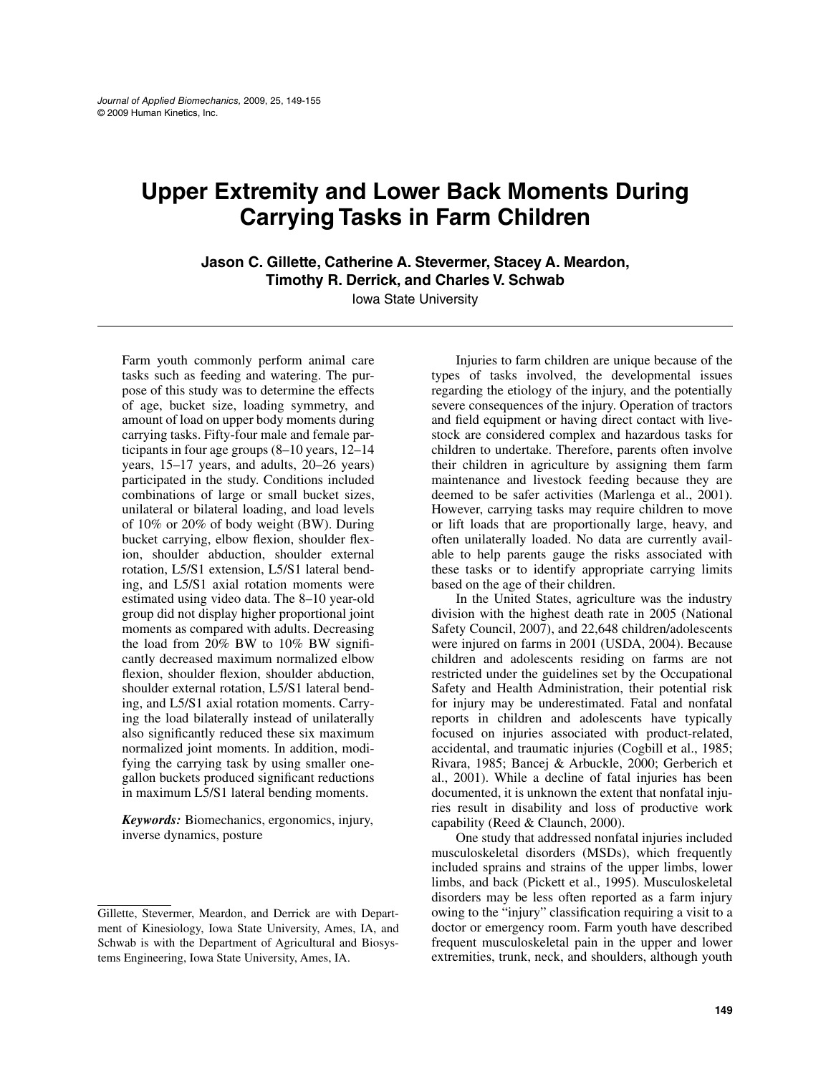# **Upper Extremity and Lower Back Moments During Carrying Tasks in Farm Children**

**Jason C. Gillette, Catherine A. Stevermer, Stacey A. Meardon, Timothy R. Derrick, and Charles V. Schwab**

Iowa State University

Farm youth commonly perform animal care tasks such as feeding and watering. The purpose of this study was to determine the effects of age, bucket size, loading symmetry, and amount of load on upper body moments during carrying tasks. Fifty-four male and female participants in four age groups (8–10 years, 12–14 years, 15–17 years, and adults, 20–26 years) participated in the study. Conditions included combinations of large or small bucket sizes, unilateral or bilateral loading, and load levels of 10% or 20% of body weight (BW). During bucket carrying, elbow flexion, shoulder flexion, shoulder abduction, shoulder external rotation, L5/S1 extension, L5/S1 lateral bending, and L5/S1 axial rotation moments were estimated using video data. The 8–10 year-old group did not display higher proportional joint moments as compared with adults. Decreasing the load from 20% BW to 10% BW significantly decreased maximum normalized elbow flexion, shoulder flexion, shoulder abduction, shoulder external rotation, L5/S1 lateral bending, and L5/S1 axial rotation moments. Carrying the load bilaterally instead of unilaterally also significantly reduced these six maximum normalized joint moments. In addition, modifying the carrying task by using smaller onegallon buckets produced significant reductions in maximum L5/S1 lateral bending moments.

*Keywords:* Biomechanics, ergonomics, injury, inverse dynamics, posture

Injuries to farm children are unique because of the types of tasks involved, the developmental issues regarding the etiology of the injury, and the potentially severe consequences of the injury. Operation of tractors and field equipment or having direct contact with livestock are considered complex and hazardous tasks for children to undertake. Therefore, parents often involve their children in agriculture by assigning them farm maintenance and livestock feeding because they are deemed to be safer activities (Marlenga et al., 2001). However, carrying tasks may require children to move or lift loads that are proportionally large, heavy, and often unilaterally loaded. No data are currently available to help parents gauge the risks associated with these tasks or to identify appropriate carrying limits based on the age of their children.

In the United States, agriculture was the industry division with the highest death rate in 2005 (National Safety Council, 2007), and 22,648 children/adolescents were injured on farms in 2001 (USDA, 2004). Because children and adolescents residing on farms are not restricted under the guidelines set by the Occupational Safety and Health Administration, their potential risk for injury may be underestimated. Fatal and nonfatal reports in children and adolescents have typically focused on injuries associated with product-related, accidental, and traumatic injuries (Cogbill et al., 1985; Rivara, 1985; Bancej & Arbuckle, 2000; Gerberich et al., 2001). While a decline of fatal injuries has been documented, it is unknown the extent that nonfatal injuries result in disability and loss of productive work capability (Reed & Claunch, 2000).

One study that addressed nonfatal injuries included musculoskeletal disorders (MSDs), which frequently included sprains and strains of the upper limbs, lower limbs, and back (Pickett et al., 1995). Musculoskeletal disorders may be less often reported as a farm injury owing to the "injury" classification requiring a visit to a doctor or emergency room. Farm youth have described frequent musculoskeletal pain in the upper and lower extremities, trunk, neck, and shoulders, although youth

Gillette, Stevermer, Meardon, and Derrick are with Department of Kinesiology, Iowa State University, Ames, IA, and Schwab is with the Department of Agricultural and Biosystems Engineering, Iowa State University, Ames, IA.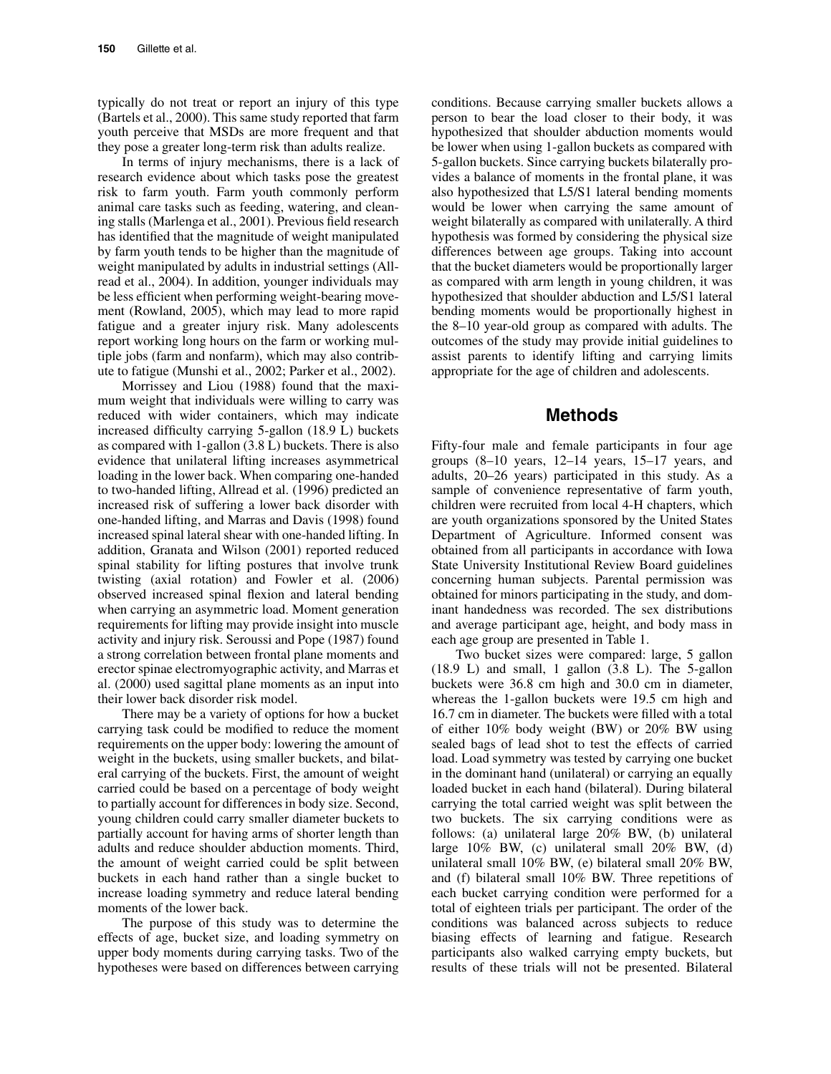typically do not treat or report an injury of this type (Bartels et al., 2000). This same study reported that farm youth perceive that MSDs are more frequent and that they pose a greater long-term risk than adults realize.

In terms of injury mechanisms, there is a lack of research evidence about which tasks pose the greatest risk to farm youth. Farm youth commonly perform animal care tasks such as feeding, watering, and cleaning stalls (Marlenga et al., 2001). Previous field research has identified that the magnitude of weight manipulated by farm youth tends to be higher than the magnitude of weight manipulated by adults in industrial settings (Allread et al., 2004). In addition, younger individuals may be less efficient when performing weight-bearing movement (Rowland, 2005), which may lead to more rapid fatigue and a greater injury risk. Many adolescents report working long hours on the farm or working multiple jobs (farm and nonfarm), which may also contribute to fatigue (Munshi et al., 2002; Parker et al., 2002).

Morrissey and Liou (1988) found that the maximum weight that individuals were willing to carry was reduced with wider containers, which may indicate increased difficulty carrying 5-gallon (18.9 L) buckets as compared with 1-gallon (3.8 L) buckets. There is also evidence that unilateral lifting increases asymmetrical loading in the lower back. When comparing one-handed to two-handed lifting, Allread et al. (1996) predicted an increased risk of suffering a lower back disorder with one-handed lifting, and Marras and Davis (1998) found increased spinal lateral shear with one-handed lifting. In addition, Granata and Wilson (2001) reported reduced spinal stability for lifting postures that involve trunk twisting (axial rotation) and Fowler et al. (2006) observed increased spinal flexion and lateral bending when carrying an asymmetric load. Moment generation requirements for lifting may provide insight into muscle activity and injury risk. Seroussi and Pope (1987) found a strong correlation between frontal plane moments and erector spinae electromyographic activity, and Marras et al. (2000) used sagittal plane moments as an input into their lower back disorder risk model.

There may be a variety of options for how a bucket carrying task could be modified to reduce the moment requirements on the upper body: lowering the amount of weight in the buckets, using smaller buckets, and bilateral carrying of the buckets. First, the amount of weight carried could be based on a percentage of body weight to partially account for differences in body size. Second, young children could carry smaller diameter buckets to partially account for having arms of shorter length than adults and reduce shoulder abduction moments. Third, the amount of weight carried could be split between buckets in each hand rather than a single bucket to increase loading symmetry and reduce lateral bending moments of the lower back.

The purpose of this study was to determine the effects of age, bucket size, and loading symmetry on upper body moments during carrying tasks. Two of the hypotheses were based on differences between carrying

conditions. Because carrying smaller buckets allows a person to bear the load closer to their body, it was hypothesized that shoulder abduction moments would be lower when using 1-gallon buckets as compared with 5-gallon buckets. Since carrying buckets bilaterally provides a balance of moments in the frontal plane, it was also hypothesized that L5/S1 lateral bending moments would be lower when carrying the same amount of weight bilaterally as compared with unilaterally. A third hypothesis was formed by considering the physical size differences between age groups. Taking into account that the bucket diameters would be proportionally larger as compared with arm length in young children, it was hypothesized that shoulder abduction and L5/S1 lateral bending moments would be proportionally highest in the 8–10 year-old group as compared with adults. The outcomes of the study may provide initial guidelines to assist parents to identify lifting and carrying limits appropriate for the age of children and adolescents.

## **Methods**

Fifty-four male and female participants in four age groups (8–10 years, 12–14 years, 15–17 years, and adults, 20–26 years) participated in this study. As a sample of convenience representative of farm youth, children were recruited from local 4-H chapters, which are youth organizations sponsored by the United States Department of Agriculture. Informed consent was obtained from all participants in accordance with Iowa State University Institutional Review Board guidelines concerning human subjects. Parental permission was obtained for minors participating in the study, and dominant handedness was recorded. The sex distributions and average participant age, height, and body mass in each age group are presented in Table 1.

Two bucket sizes were compared: large, 5 gallon  $(18.9 \text{ L})$  and small, 1 gallon  $(3.8 \text{ L})$ . The 5-gallon buckets were 36.8 cm high and 30.0 cm in diameter, whereas the 1-gallon buckets were 19.5 cm high and 16.7 cm in diameter. The buckets were filled with a total of either 10% body weight (BW) or 20% BW using sealed bags of lead shot to test the effects of carried load. Load symmetry was tested by carrying one bucket in the dominant hand (unilateral) or carrying an equally loaded bucket in each hand (bilateral). During bilateral carrying the total carried weight was split between the two buckets. The six carrying conditions were as follows: (a) unilateral large 20% BW, (b) unilateral large 10% BW, (c) unilateral small 20% BW, (d) unilateral small 10% BW, (e) bilateral small 20% BW, and (f) bilateral small 10% BW. Three repetitions of each bucket carrying condition were performed for a total of eighteen trials per participant. The order of the conditions was balanced across subjects to reduce biasing effects of learning and fatigue. Research participants also walked carrying empty buckets, but results of these trials will not be presented. Bilateral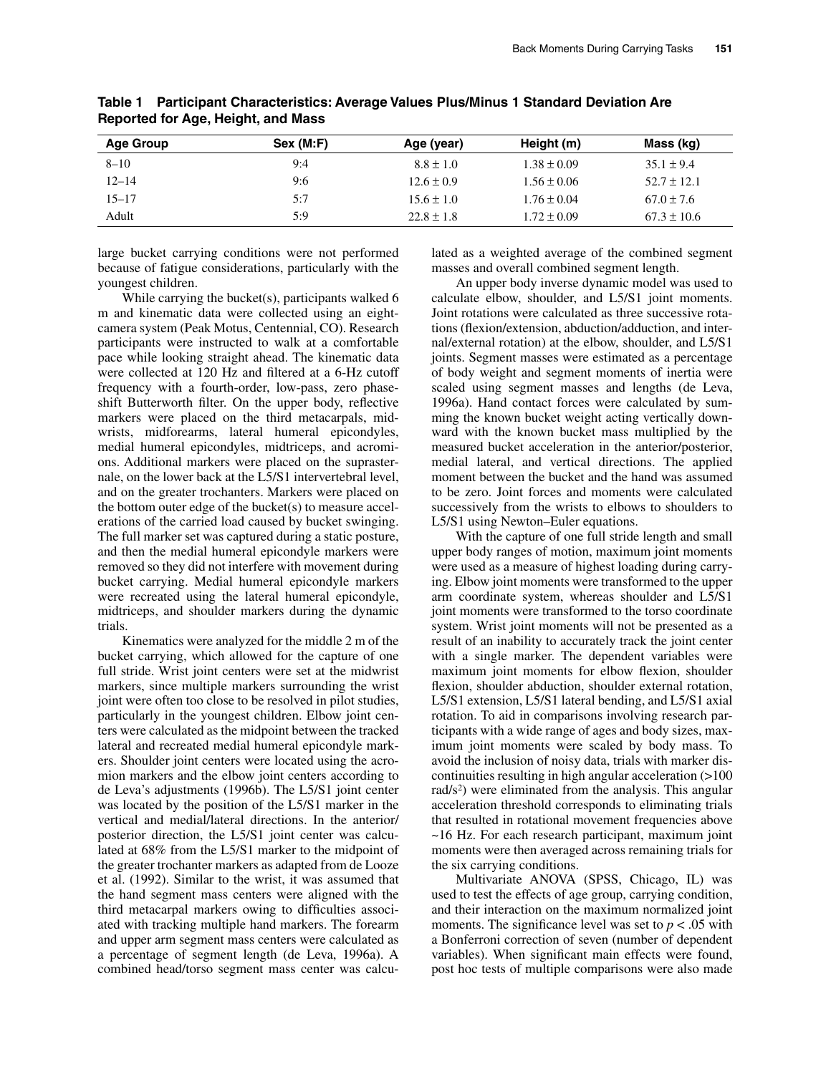| <b>Age Group</b> | Sex (M: F) | Age (year)     | Height (m)      | Mass (kg)       |
|------------------|------------|----------------|-----------------|-----------------|
| $8 - 10$         | 9:4        | $8.8 \pm 1.0$  | $1.38 \pm 0.09$ | $35.1 \pm 9.4$  |
| $12 - 14$        | 9:6        | $12.6 \pm 0.9$ | $1.56 \pm 0.06$ | $52.7 \pm 12.1$ |
| $15 - 17$        | 5:7        | $15.6 \pm 1.0$ | $1.76 \pm 0.04$ | $67.0 \pm 7.6$  |
| Adult            | 5:9        | $22.8 \pm 1.8$ | $1.72 \pm 0.09$ | $67.3 \pm 10.6$ |

**Table 1 Participant Characteristics: Average Values Plus/Minus 1 Standard Deviation Are Reported for Age, Height, and Mass**

large bucket carrying conditions were not performed because of fatigue considerations, particularly with the youngest children.

While carrying the bucket(s), participants walked 6 m and kinematic data were collected using an eightcamera system (Peak Motus, Centennial, CO). Research participants were instructed to walk at a comfortable pace while looking straight ahead. The kinematic data were collected at 120 Hz and filtered at a 6-Hz cutoff frequency with a fourth-order, low-pass, zero phaseshift Butterworth filter. On the upper body, reflective markers were placed on the third metacarpals, midwrists, midforearms, lateral humeral epicondyles, medial humeral epicondyles, midtriceps, and acromions. Additional markers were placed on the suprasternale, on the lower back at the L5/S1 intervertebral level, and on the greater trochanters. Markers were placed on the bottom outer edge of the bucket(s) to measure accelerations of the carried load caused by bucket swinging. The full marker set was captured during a static posture, and then the medial humeral epicondyle markers were removed so they did not interfere with movement during bucket carrying. Medial humeral epicondyle markers were recreated using the lateral humeral epicondyle, midtriceps, and shoulder markers during the dynamic trials.

Kinematics were analyzed for the middle 2 m of the bucket carrying, which allowed for the capture of one full stride. Wrist joint centers were set at the midwrist markers, since multiple markers surrounding the wrist joint were often too close to be resolved in pilot studies, particularly in the youngest children. Elbow joint centers were calculated as the midpoint between the tracked lateral and recreated medial humeral epicondyle markers. Shoulder joint centers were located using the acromion markers and the elbow joint centers according to de Leva's adjustments (1996b). The L5/S1 joint center was located by the position of the L5/S1 marker in the vertical and medial/lateral directions. In the anterior/ posterior direction, the L5/S1 joint center was calculated at 68% from the L5/S1 marker to the midpoint of the greater trochanter markers as adapted from de Looze et al. (1992). Similar to the wrist, it was assumed that the hand segment mass centers were aligned with the third metacarpal markers owing to difficulties associated with tracking multiple hand markers. The forearm and upper arm segment mass centers were calculated as a percentage of segment length (de Leva, 1996a). A combined head/torso segment mass center was calculated as a weighted average of the combined segment masses and overall combined segment length.

An upper body inverse dynamic model was used to calculate elbow, shoulder, and L5/S1 joint moments. Joint rotations were calculated as three successive rotations (flexion/extension, abduction/adduction, and internal/external rotation) at the elbow, shoulder, and L5/S1 joints. Segment masses were estimated as a percentage of body weight and segment moments of inertia were scaled using segment masses and lengths (de Leva, 1996a). Hand contact forces were calculated by summing the known bucket weight acting vertically downward with the known bucket mass multiplied by the measured bucket acceleration in the anterior/posterior, medial lateral, and vertical directions. The applied moment between the bucket and the hand was assumed to be zero. Joint forces and moments were calculated successively from the wrists to elbows to shoulders to L5/S1 using Newton–Euler equations.

With the capture of one full stride length and small upper body ranges of motion, maximum joint moments were used as a measure of highest loading during carrying. Elbow joint moments were transformed to the upper arm coordinate system, whereas shoulder and L5/S1 joint moments were transformed to the torso coordinate system. Wrist joint moments will not be presented as a result of an inability to accurately track the joint center with a single marker. The dependent variables were maximum joint moments for elbow flexion, shoulder flexion, shoulder abduction, shoulder external rotation, L5/S1 extension, L5/S1 lateral bending, and L5/S1 axial rotation. To aid in comparisons involving research participants with a wide range of ages and body sizes, maximum joint moments were scaled by body mass. To avoid the inclusion of noisy data, trials with marker discontinuities resulting in high angular acceleration (>100 rad/ $s^2$ ) were eliminated from the analysis. This angular acceleration threshold corresponds to eliminating trials that resulted in rotational movement frequencies above ~16 Hz. For each research participant, maximum joint moments were then averaged across remaining trials for the six carrying conditions.

Multivariate ANOVA (SPSS, Chicago, IL) was used to test the effects of age group, carrying condition, and their interaction on the maximum normalized joint moments. The significance level was set to  $p < .05$  with a Bonferroni correction of seven (number of dependent variables). When significant main effects were found, post hoc tests of multiple comparisons were also made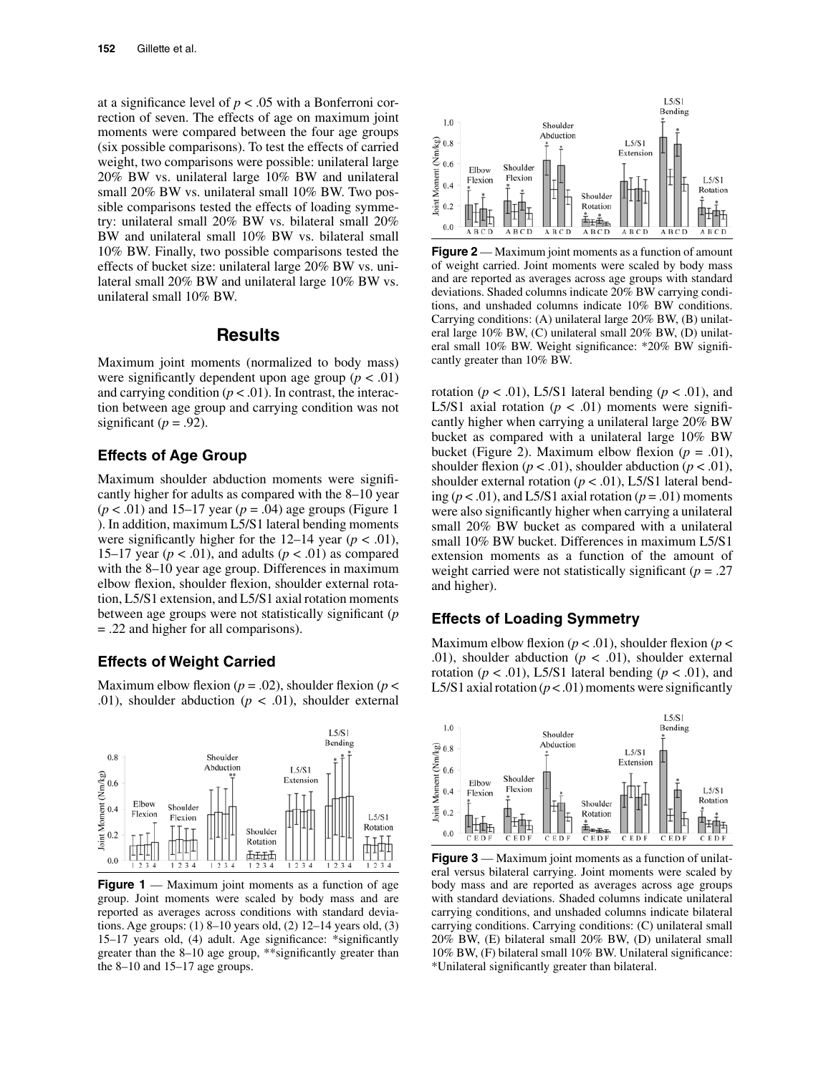at a significance level of  $p < .05$  with a Bonferroni correction of seven. The effects of age on maximum joint moments were compared between the four age groups (six possible comparisons). To test the effects of carried weight, two comparisons were possible: unilateral large 20% BW vs. unilateral large 10% BW and unilateral small 20% BW vs. unilateral small 10% BW. Two possible comparisons tested the effects of loading symmetry: unilateral small 20% BW vs. bilateral small 20% BW and unilateral small 10% BW vs. bilateral small 10% BW. Finally, two possible comparisons tested the effects of bucket size: unilateral large 20% BW vs. unilateral small 20% BW and unilateral large 10% BW vs. unilateral small 10% BW.

# **Results**

Maximum joint moments (normalized to body mass) were significantly dependent upon age group  $(p < .01)$ and carrying condition  $(p < .01)$ . In contrast, the interaction between age group and carrying condition was not significant ( $p = .92$ ).

#### **Effects of Age Group**

Maximum shoulder abduction moments were significantly higher for adults as compared with the 8–10 year (*p* < .01) and 15–17 year (*p* = .04) age groups (Figure 1 ). In addition, maximum L5/S1 lateral bending moments were significantly higher for the  $12-14$  year ( $p < .01$ ), 15–17 year ( $p < .01$ ), and adults ( $p < .01$ ) as compared with the 8–10 year age group. Differences in maximum elbow flexion, shoulder flexion, shoulder external rotation, L5/S1 extension, and L5/S1 axial rotation moments between age groups were not statistically significant (*p* = .22 and higher for all comparisons).

#### **Effects of Weight Carried**

Maximum elbow flexion ( $p = .02$ ), shoulder flexion ( $p <$ .01), shoulder abduction  $(p < .01)$ , shoulder external



**Figure 1** — Maximum joint moments as a function of age group. Joint moments were scaled by body mass and are reported as averages across conditions with standard deviations. Age groups: (1) 8–10 years old, (2) 12–14 years old, (3) 15–17 years old, (4) adult. Age significance: \*significantly greater than the 8–10 age group, \*\*significantly greater than the 8–10 and 15–17 age groups.



**Figure 2** — Maximum joint moments as a function of amount of weight carried. Joint moments were scaled by body mass and are reported as averages across age groups with standard deviations. Shaded columns indicate 20% BW carrying conditions, and unshaded columns indicate 10% BW conditions. Carrying conditions: (A) unilateral large 20% BW, (B) unilateral large 10% BW, (C) unilateral small 20% BW, (D) unilateral small 10% BW. Weight significance: \*20% BW significantly greater than 10% BW.

rotation ( $p < .01$ ), L5/S1 lateral bending ( $p < .01$ ), and L5/S1 axial rotation ( $p < .01$ ) moments were significantly higher when carrying a unilateral large 20% BW bucket as compared with a unilateral large 10% BW bucket (Figure 2). Maximum elbow flexion  $(p = .01)$ , shoulder flexion ( $p < .01$ ), shoulder abduction ( $p < .01$ ), shoulder external rotation ( $p < .01$ ), L5/S1 lateral bending ( $p < .01$ ), and L5/S1 axial rotation ( $p = .01$ ) moments were also significantly higher when carrying a unilateral small 20% BW bucket as compared with a unilateral small 10% BW bucket. Differences in maximum L5/S1 extension moments as a function of the amount of weight carried were not statistically significant (*p* = .27 and higher).

#### **Effects of Loading Symmetry**

Maximum elbow flexion ( $p < .01$ ), shoulder flexion ( $p <$ .01), shoulder abduction ( $p < .01$ ), shoulder external rotation ( $p < .01$ ), L5/S1 lateral bending ( $p < .01$ ), and L5/S1 axial rotation  $(p < .01)$  moments were significantly



**Figure 3** — Maximum joint moments as a function of unilateral versus bilateral carrying. Joint moments were scaled by body mass and are reported as averages across age groups with standard deviations. Shaded columns indicate unilateral carrying conditions, and unshaded columns indicate bilateral carrying conditions. Carrying conditions: (C) unilateral small 20% BW, (E) bilateral small 20% BW, (D) unilateral small 10% BW, (F) bilateral small 10% BW. Unilateral significance: \*Unilateral significantly greater than bilateral.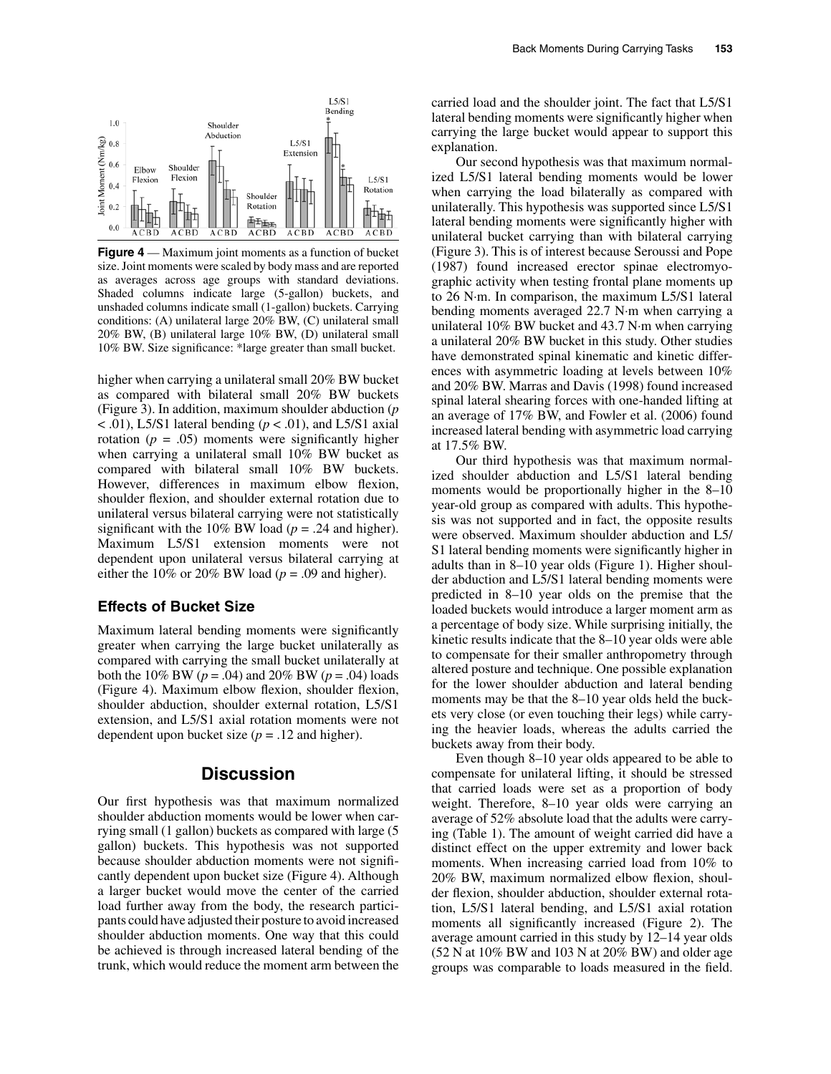

**Figure 4** — Maximum joint moments as a function of bucket size. Joint moments were scaled by body mass and are reported as averages across age groups with standard deviations. Shaded columns indicate large (5-gallon) buckets, and unshaded columns indicate small (1-gallon) buckets. Carrying conditions: (A) unilateral large 20% BW, (C) unilateral small 20% BW, (B) unilateral large 10% BW, (D) unilateral small 10% BW. Size significance: \*large greater than small bucket.

higher when carrying a unilateral small 20% BW bucket as compared with bilateral small 20% BW buckets (Figure 3). In addition, maximum shoulder abduction (*p*  $<$ .01), L5/S1 lateral bending ( $p$  < .01), and L5/S1 axial rotation  $(p = .05)$  moments were significantly higher when carrying a unilateral small 10% BW bucket as compared with bilateral small 10% BW buckets. However, differences in maximum elbow flexion, shoulder flexion, and shoulder external rotation due to unilateral versus bilateral carrying were not statistically significant with the 10% BW load ( $p = .24$  and higher). Maximum L5/S1 extension moments were not dependent upon unilateral versus bilateral carrying at either the 10% or 20% BW load ( $p = .09$  and higher).

#### **Effects of Bucket Size**

Maximum lateral bending moments were significantly greater when carrying the large bucket unilaterally as compared with carrying the small bucket unilaterally at both the 10% BW ( $p = .04$ ) and 20% BW ( $p = .04$ ) loads (Figure 4). Maximum elbow flexion, shoulder flexion, shoulder abduction, shoulder external rotation, L5/S1 extension, and L5/S1 axial rotation moments were not dependent upon bucket size  $(p = .12$  and higher).

## **Discussion**

Our first hypothesis was that maximum normalized shoulder abduction moments would be lower when carrying small (1 gallon) buckets as compared with large (5 gallon) buckets. This hypothesis was not supported because shoulder abduction moments were not significantly dependent upon bucket size (Figure 4). Although a larger bucket would move the center of the carried load further away from the body, the research participants could have adjusted their posture to avoid increased shoulder abduction moments. One way that this could be achieved is through increased lateral bending of the trunk, which would reduce the moment arm between the

carried load and the shoulder joint. The fact that L5/S1 lateral bending moments were significantly higher when carrying the large bucket would appear to support this explanation.

Our second hypothesis was that maximum normalized L5/S1 lateral bending moments would be lower when carrying the load bilaterally as compared with unilaterally. This hypothesis was supported since L5/S1 lateral bending moments were significantly higher with unilateral bucket carrying than with bilateral carrying (Figure 3). This is of interest because Seroussi and Pope (1987) found increased erector spinae electromyographic activity when testing frontal plane moments up to 26 N·m. In comparison, the maximum L5/S1 lateral bending moments averaged 22.7 N·m when carrying a unilateral 10% BW bucket and 43.7 N·m when carrying a unilateral 20% BW bucket in this study. Other studies have demonstrated spinal kinematic and kinetic differences with asymmetric loading at levels between 10% and 20% BW. Marras and Davis (1998) found increased spinal lateral shearing forces with one-handed lifting at an average of 17% BW, and Fowler et al. (2006) found increased lateral bending with asymmetric load carrying at 17.5% BW.

Our third hypothesis was that maximum normalized shoulder abduction and L5/S1 lateral bending moments would be proportionally higher in the 8–10 year-old group as compared with adults. This hypothesis was not supported and in fact, the opposite results were observed. Maximum shoulder abduction and L5/ S1 lateral bending moments were significantly higher in adults than in 8–10 year olds (Figure 1). Higher shoulder abduction and L5/S1 lateral bending moments were predicted in 8–10 year olds on the premise that the loaded buckets would introduce a larger moment arm as a percentage of body size. While surprising initially, the kinetic results indicate that the 8–10 year olds were able to compensate for their smaller anthropometry through altered posture and technique. One possible explanation for the lower shoulder abduction and lateral bending moments may be that the 8–10 year olds held the buckets very close (or even touching their legs) while carrying the heavier loads, whereas the adults carried the buckets away from their body.

Even though 8–10 year olds appeared to be able to compensate for unilateral lifting, it should be stressed that carried loads were set as a proportion of body weight. Therefore, 8–10 year olds were carrying an average of 52% absolute load that the adults were carrying (Table 1). The amount of weight carried did have a distinct effect on the upper extremity and lower back moments. When increasing carried load from 10% to 20% BW, maximum normalized elbow flexion, shoulder flexion, shoulder abduction, shoulder external rotation, L5/S1 lateral bending, and L5/S1 axial rotation moments all significantly increased (Figure 2). The average amount carried in this study by 12–14 year olds (52 N at 10% BW and 103 N at 20% BW) and older age groups was comparable to loads measured in the field.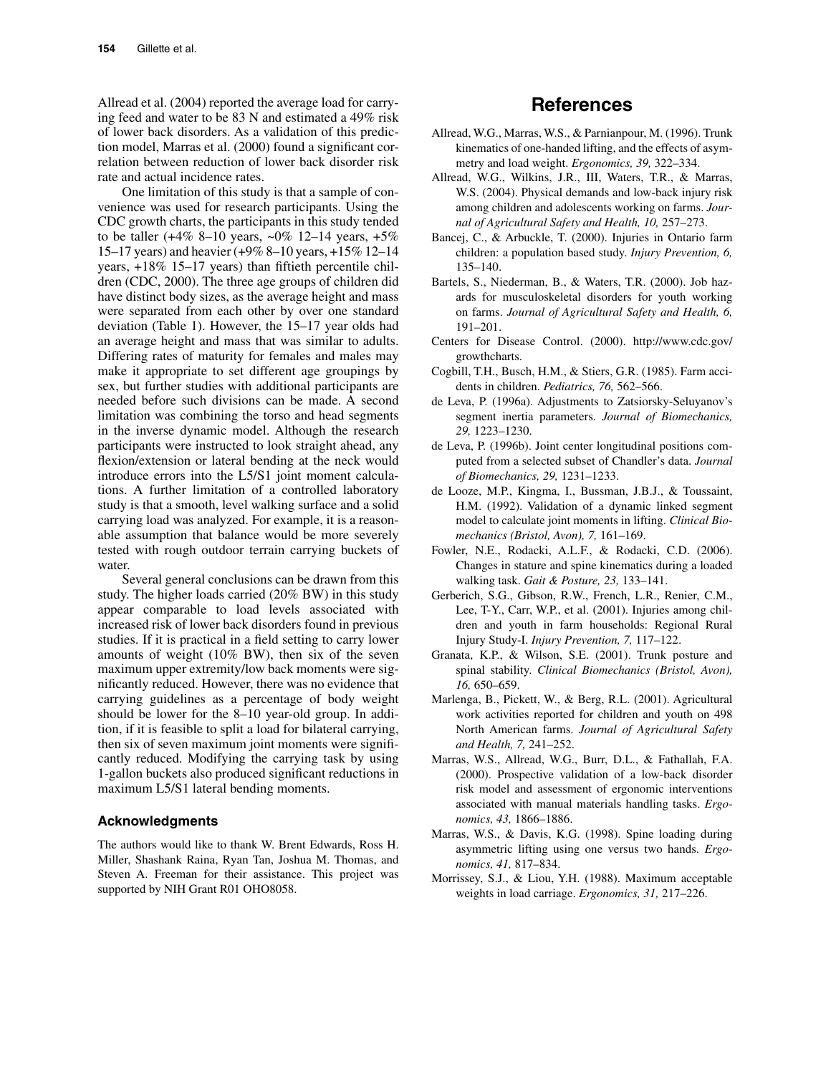Allread et al. (2004) reported the average load for carrying feed and water to be 83 N and estimated a 49% risk of lower back disorders. As a validation of this prediction model, Marras et al. (2000) found a significant correlation between reduction of lower back disorder risk rate and actual incidence rates.

One limitation of this study is that a sample of convenience was used for research participants. Using the CDC growth charts, the participants in this study tended to be taller  $(+4\% 8-10 \text{ years}, -0\% 12-14 \text{ years}, +5\%$ 15–17 years) and heavier (+9% 8–10 years, +15% 12–14 years, +18% 15–17 years) than fiftieth percentile children (CDC, 2000). The three age groups of children did have distinct body sizes, as the average height and mass were separated from each other by over one standard deviation (Table 1). However, the 15–17 year olds had an average height and mass that was similar to adults. Differing rates of maturity for females and males may make it appropriate to set different age groupings by sex, but further studies with additional participants are needed before such divisions can be made. A second limitation was combining the torso and head segments in the inverse dynamic model. Although the research participants were instructed to look straight ahead, any flexion/extension or lateral bending at the neck would introduce errors into the L5/S1 joint moment calculations. A further limitation of a controlled laboratory study is that a smooth, level walking surface and a solid carrying load was analyzed. For example, it is a reasonable assumption that balance would be more severely tested with rough outdoor terrain carrying buckets of water.

Several general conclusions can be drawn from this study. The higher loads carried (20% BW) in this study appear comparable to load levels associated with increased risk of lower back disorders found in previous studies. If it is practical in a field setting to carry lower amounts of weight (10% BW), then six of the seven maximum upper extremity/low back moments were significantly reduced. However, there was no evidence that carrying guidelines as a percentage of body weight should be lower for the 8–10 year-old group. In addition, if it is feasible to split a load for bilateral carrying, then six of seven maximum joint moments were significantly reduced. Modifying the carrying task by using 1-gallon buckets also produced significant reductions in maximum L5/S1 lateral bending moments.

#### **Acknowledgments**

The authors would like to thank W. Brent Edwards, Ross H. Miller, Shashank Raina, Ryan Tan, Joshua M. Thomas, and Steven A. Freeman for their assistance. This project was supported by NIH Grant R01 OHO8058.

# **References**

- Allread, W.G., Marras, W.S., & Parnianpour, M. (1996). Trunk kinematics of one-handed lifting, and the effects of asymmetry and load weight. *Ergonomics, 39,* 322–334.
- Allread, W.G., Wilkins, J.R., III, Waters, T.R., & Marras, W.S. (2004). Physical demands and low-back injury risk among children and adolescents working on farms. *Journal of Agricultural Safety and Health, 10,* 257–273.
- Bancej, C., & Arbuckle, T. (2000). Injuries in Ontario farm children: a population based study. *Injury Prevention, 6,* 135–140.
- Bartels, S., Niederman, B., & Waters, T.R. (2000). Job hazards for musculoskeletal disorders for youth working on farms. *Journal of Agricultural Safety and Health, 6,* 191–201.
- Centers for Disease Control. (2000). http://www.cdc.gov/ growthcharts.
- Cogbill, T.H., Busch, H.M., & Stiers, G.R. (1985). Farm accidents in children. *Pediatrics, 76,* 562–566.
- de Leva, P. (1996a). Adjustments to Zatsiorsky-Seluyanov's segment inertia parameters. *Journal of Biomechanics, 29,* 1223–1230.
- de Leva, P. (1996b). Joint center longitudinal positions computed from a selected subset of Chandler's data. *Journal of Biomechanics, 29,* 1231–1233.
- de Looze, M.P., Kingma, I., Bussman, J.B.J., & Toussaint, H.M. (1992). Validation of a dynamic linked segment model to calculate joint moments in lifting. *Clinical Biomechanics (Bristol, Avon), 7,* 161–169.
- Fowler, N.E., Rodacki, A.L.F., & Rodacki, C.D. (2006). Changes in stature and spine kinematics during a loaded walking task. *Gait & Posture, 23,* 133–141.
- Gerberich, S.G., Gibson, R.W., French, L.R., Renier, C.M., Lee, T-Y., Carr, W.P., et al. (2001). Injuries among children and youth in farm households: Regional Rural Injury Study-I. *Injury Prevention, 7,* 117–122.
- Granata, K.P., & Wilson, S.E. (2001). Trunk posture and spinal stability. *Clinical Biomechanics (Bristol, Avon), 16,* 650–659.
- Marlenga, B., Pickett, W., & Berg, R.L. (2001). Agricultural work activities reported for children and youth on 498 North American farms. *Journal of Agricultural Safety and Health, 7,* 241–252.
- Marras, W.S., Allread, W.G., Burr, D.L., & Fathallah, F.A. (2000). Prospective validation of a low-back disorder risk model and assessment of ergonomic interventions associated with manual materials handling tasks. *Ergonomics, 43,* 1866–1886.
- Marras, W.S., & Davis, K.G. (1998). Spine loading during asymmetric lifting using one versus two hands. *Ergonomics, 41,* 817–834.
- Morrissey, S.J., & Liou, Y.H. (1988). Maximum acceptable weights in load carriage. *Ergonomics, 31,* 217–226.